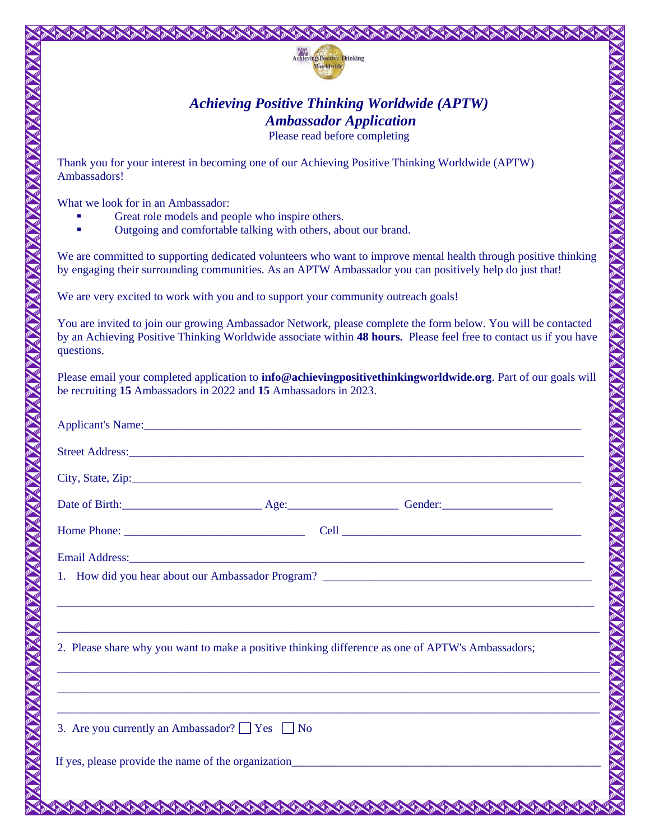

## *Achieving Positive Thinking Worldwide (APTW) Ambassador Application*

Please read before completing

Thank you for your interest in becoming one of our Achieving Positive Thinking Worldwide (APTW) Ambassadors!

What we look for in an Ambassador:

- Great role models and people who inspire others.
- Outgoing and comfortable talking with others, about our brand.

We are committed to supporting dedicated volunteers who want to improve mental health through positive thinking by engaging their surrounding communities. As an APTW Ambassador you can positively help do just that!

We are very excited to work with you and to support your community outreach goals!

You are invited to join our growing Ambassador Network, please complete the form below. You will be contacted by an Achieving Positive Thinking Worldwide associate within **48 hours.** Please feel free to contact us if you have questions.

<u> ANNAN MANAN MANAN MANAN MA</u>

Please email your completed application to **info@achievingpositivethinkingworldwide.org**. Part of our goals will be recruiting **15** Ambassadors in 2022 and **15** Ambassadors in 2023.

| Applicant's Name: <u>Applicant's Name</u>                                                                                                                                                                                     |
|-------------------------------------------------------------------------------------------------------------------------------------------------------------------------------------------------------------------------------|
| Street Address: No. 2016. The Contract of the Contract of the Contract of the Contract of the Contract of the Contract of the Contract of the Contract of the Contract of the Contract of the Contract of the Contract of the |
|                                                                                                                                                                                                                               |
|                                                                                                                                                                                                                               |
|                                                                                                                                                                                                                               |
|                                                                                                                                                                                                                               |
|                                                                                                                                                                                                                               |
|                                                                                                                                                                                                                               |
| 2. Please share why you want to make a positive thinking difference as one of APTW's Ambassadors;                                                                                                                             |
|                                                                                                                                                                                                                               |
| 3. Are you currently an Ambassador? See No                                                                                                                                                                                    |
|                                                                                                                                                                                                                               |
| AAAAAAAAAAAAAAAAAAAAAAAAAAAAAAAAAAAA                                                                                                                                                                                          |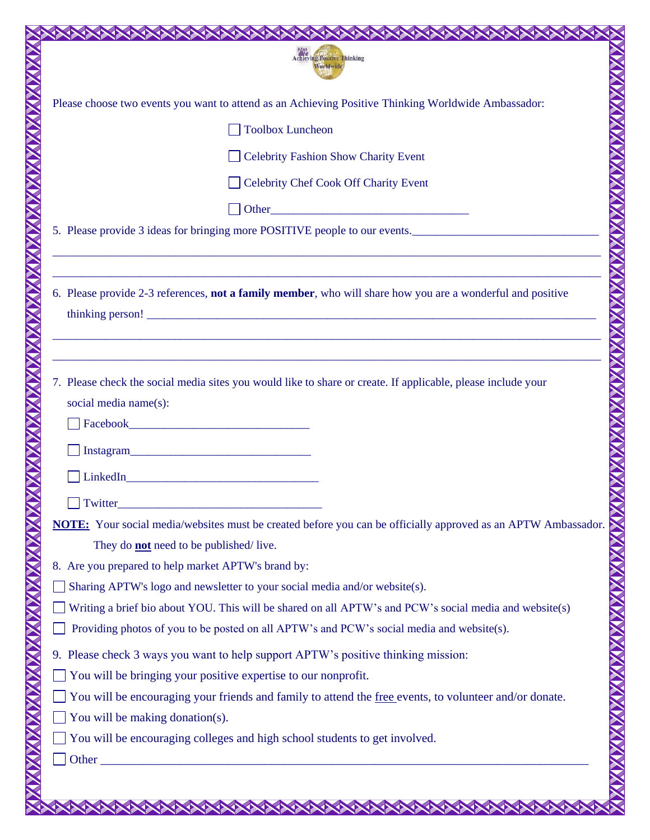|                                                                                                        | <b>Achieving Positive Thinking</b><br>Worldwide                                                                                                                                                                                             |  |  |  |  |
|--------------------------------------------------------------------------------------------------------|---------------------------------------------------------------------------------------------------------------------------------------------------------------------------------------------------------------------------------------------|--|--|--|--|
|                                                                                                        | Please choose two events you want to attend as an Achieving Positive Thinking Worldwide Ambassador:                                                                                                                                         |  |  |  |  |
|                                                                                                        | <b>Toolbox Luncheon</b>                                                                                                                                                                                                                     |  |  |  |  |
|                                                                                                        | <b>Celebrity Fashion Show Charity Event</b>                                                                                                                                                                                                 |  |  |  |  |
|                                                                                                        | <b>Celebrity Chef Cook Off Charity Event</b>                                                                                                                                                                                                |  |  |  |  |
|                                                                                                        |                                                                                                                                                                                                                                             |  |  |  |  |
|                                                                                                        | 5. Please provide 3 ideas for bringing more POSITIVE people to our events.                                                                                                                                                                  |  |  |  |  |
|                                                                                                        | 6. Please provide 2-3 references, <b>not a family member</b> , who will share how you are a wonderful and positive<br><u> 1989 - Johann Barbara, martxa alemaniar argumentuar argumentuar argumentuar argumentuar argumentuar argumentu</u> |  |  |  |  |
|                                                                                                        | 7. Please check the social media sites you would like to share or create. If applicable, please include your<br>social media name(s):<br>$\Box$ LinkedIn                                                                                    |  |  |  |  |
|                                                                                                        | <b>Twitter</b><br>NOTE: Your social media/websites must be created before you can be officially approved as an APTW Ambassador.<br>They do <b>not</b> need to be published/live.                                                            |  |  |  |  |
|                                                                                                        | 8. Are you prepared to help market APTW's brand by:                                                                                                                                                                                         |  |  |  |  |
|                                                                                                        | Sharing APTW's logo and newsletter to your social media and/or website(s).                                                                                                                                                                  |  |  |  |  |
| Writing a brief bio about YOU. This will be shared on all APTW's and PCW's social media and website(s) |                                                                                                                                                                                                                                             |  |  |  |  |
| Providing photos of you to be posted on all APTW's and PCW's social media and website(s).              |                                                                                                                                                                                                                                             |  |  |  |  |
| 9. Please check 3 ways you want to help support APTW's positive thinking mission:                      |                                                                                                                                                                                                                                             |  |  |  |  |
| You will be bringing your positive expertise to our nonprofit.                                         |                                                                                                                                                                                                                                             |  |  |  |  |
| You will be encouraging your friends and family to attend the free events, to volunteer and/or donate. |                                                                                                                                                                                                                                             |  |  |  |  |
| You will be making donation(s).                                                                        |                                                                                                                                                                                                                                             |  |  |  |  |
| You will be encouraging colleges and high school students to get involved.                             |                                                                                                                                                                                                                                             |  |  |  |  |
|                                                                                                        | Other $\overline{\phantom{a}}$                                                                                                                                                                                                              |  |  |  |  |
|                                                                                                        |                                                                                                                                                                                                                                             |  |  |  |  |